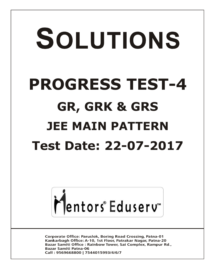# SOLUTIONS **PROGRESS TEST-4 GR, GRK & GRS JEE MAIN PATTERNTest Date: 22-07-2017**



**Corporate Office: Paruslok, Boring Road Crossing, Patna-01** Kankarbagh Office: A-10, 1st Floor, Patrakar Nagar, Patna-20 Bazar Samiti Office: Rainbow Tower, Sai Complex, Rampur Rd., **Bazar Samiti Patna-06** Call: 9569668800 | 7544015993/4/6/7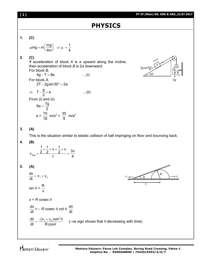#### **Mentors Eduserv: Parus Lok Complex, Boring Road Crossing, Patna-1 Helpline No. : 9569668800 | 7544015993/4/6/7**

*v*<sup>1</sup>

*x*

$$
PT-IV (Main) GR, GRK & GRS_22.07.2017
$$

# **PHYSICS**

# **1. (C)**

$$
\mu mg = m \left(\frac{mg}{4m}\right) \Rightarrow \mu = \frac{1}{4}
$$

# **2. (C)**

 If acceleration of block *A* is *a* upward along the incline, then acceleration of block *B* is 2*a* downward.

For block *B*,  $4g - T = 8a$  ...(i) For block *A*,  $2T - 2g \sin 30^\circ = 2a$  $\Rightarrow$  T- $\frac{g}{2}$ =a 2  $-\frac{9}{6} = a$  ...(ii) From (i) and (ii)  $9a = \frac{7g}{2}$ 2  $=$ 

 $m/s^2 = \frac{35}{8}$ 

9

 $m/s<sup>2</sup>$ 



*R*

 $v<sub>2</sub>$ 

# **3. (A)**

This is the situation similar to elastic collision of ball impinging on floor and bouncing back.

# **4. (B)**

|     | $\mathsf{V}$<br>v<br>╭ |  |
|-----|------------------------|--|
| avg |                        |  |

# **5. (A)**

 $1'$   $\sqrt{2}$  $\frac{dx}{dt} = v_1 + v_2$ dt  $= V_1 + V$  $sin \theta = \frac{R}{A}$ x

 $a = \frac{70}{10}$ 18

 $x = R \csc \theta$ 

dx dt  $=$  – *R* cosec  $\theta$  cot  $\theta$   $\frac{d}{d}$ dt  $\theta$ 

$$
\frac{d\theta}{dt} = \frac{-(v_1 + v_2)\sin^2\theta}{R\cos\theta}
$$
 (-ve sign shows that  $\theta$  decreasing with time)

Mentors<sup>e</sup> Eduserv<sup>®</sup>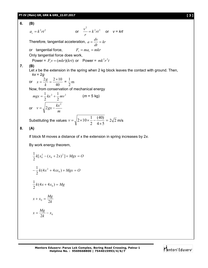#### **PT-IV (Main) GR, GRK & GRS\_22.07.2017 [ 3 ]**

#### **6. (B)**

$$
a_c = k^2 r t^2 \qquad \text{or} \quad \frac{v^2}{r} = k^2 r t^2 \qquad \text{or} \quad v = krt
$$

Therefore, tangential acceleration,  $a = \frac{dv}{dx} = kr$ *dt*  $a = \frac{dv}{dt}$ 

or tangential force,  $F_t = ma_t = mkr$ 

Only tangential force does work,

Power = 
$$
F_t v = (mkr)(krt)
$$
 or Power =  $mk^2r^2t$ 

### **7. (B)**

Let *x* be the extension in the spring when 2 kg block leaves the contact with ground. Then, *kx* = 2*g*

or 
$$
x = \frac{2g}{k} = \frac{2 \times 10}{40} = \frac{1}{2}
$$
 m

 $\overline{1}$ 

Now, from conservation of mechanical energy

$$
mgx = \frac{1}{2}kx^{2} + \frac{1}{2}mv^{2}
$$
 (*m* = 5 kg)  
or  $v = \sqrt{2gx - \frac{kx^{2}}{m}}$ 

Substituting the values  $v = \sqrt{2 \times 10 \times \frac{1}{2} - \frac{1}{4} \times 7}$  $\times$  $=\sqrt{2\times10\times\frac{1}{2}}$  $4 \times 5$ (40) 2  $v = \sqrt{2 \times 10 \times \frac{1}{2} - \frac{(40)}{1 \cdot 2}} = 2\sqrt{2}$  m/s

#### **8. (A)**

If block M moves a distance of x the extension in spring increases by 2*x*.

By work energy theorem,

$$
\frac{1}{2}k[x_0^2 - (x_0 + 2x)^2] + Mgx = O
$$
  

$$
-\frac{1}{2}k(4x^2 + 4xx_0) + Mgx = O
$$
  

$$
\frac{1}{2}k(4x + 4x_0) = Mg
$$
  

$$
x + x_0 = \frac{Mg}{2k}
$$
  

$$
x = \frac{Mg}{2k} - x_0
$$

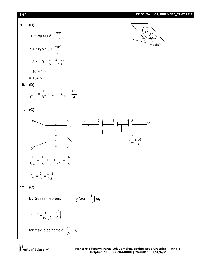

Mentors<sup>e</sup> Eduserv<sup>®</sup>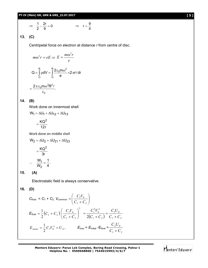$$
\Rightarrow \frac{1}{2} - \frac{2r}{9} = 0 \qquad \Rightarrow \quad r = \frac{9}{4}
$$

**13. (C)**

Centripetal force on electron at distance *r* from centre of disc.

$$
m\omega^2 r = eE \Rightarrow E = \frac{m\omega^2 r}{e}
$$

$$
Q = \int_0^R \rho dV = \int_0^R \frac{2\epsilon_0 m\omega^2}{e} \times 2\pi r \ell dr
$$

$$
= \frac{2\pi \epsilon_0 m \omega^2 R^2 \ell}{\epsilon_0}.
$$

# **14. (B)**

Work done on innermost shell

$$
W_1 = \Delta U_1 + \Delta U_{12} + \Delta U_{13}
$$

$$
= \frac{KQ^2}{12r}
$$

Work done on middle shell

$$
W_2 = \Delta U_2 + \Delta U_{21} + \Delta U_{23}
$$

$$
= \frac{KQ^2}{3r}
$$

$$
\therefore \frac{W_1}{W_2} = \frac{1}{4}.
$$

**15. (A)**

Electrostatic field is always conservative.

$$
16. (D)
$$

$$
C_{\text{final}} = C_1 + C_2, V_{\text{common}} = \left(\frac{C_1 V_0}{C_1 + C_2}\right)
$$
  
\n
$$
E_{\text{final}} = \frac{1}{2} (C_1 + C_2) \left(\frac{C_1 V_0}{C_1 + C_2}\right)^2 = \frac{C_1^2 V_0^2}{2(C_1 + C_2)} = \frac{C_1 U_0}{C_1 + C_2}
$$
  
\n
$$
E_{\text{initial}} = \frac{1}{2} C_1 V_0^2 = U_0, \qquad E_{\text{loss}} = E_{\text{initial}} - E_{\text{final}} = \frac{C_2 U_0}{C_1 + C_2}
$$

**Mentors Eduserv: Parus Lok Complex, Boring Road Crossing, Patna-1 Helpline No. : 9569668800 | 7544015993/4/6/7**

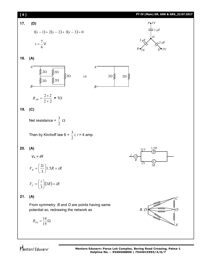

Mentors Eduserv

**Mentors Eduserv: Parus Lok Complex, Boring Road Crossing, Patna-1 Helpline No. : 9569668800 | 7544015993/4/6/7**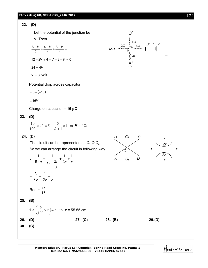#### **PT-IV (Main) GR, GRK & GRS\_22.07.2017 [ 7 ]**

22. **(D)**  
\nLet the potential of the junction be  
\nV. Then  
\n
$$
\frac{6-V}{2} + \frac{4-V}{4} + \frac{8-V}{4} = 0
$$
\n
$$
12-2V + 4-V + 8-V = 0
$$
\n
$$
24 = 4V
$$
\n
$$
V = 6 \text{ volt}
$$
\n
$$
24 = 4V
$$
\n
$$
V = 6 \text{ volt}
$$
\n
$$
= 6 - (-10)
$$
\n
$$
= 16V
$$
\n
$$
Change on capacitor = 16 \text{ }\mu\text{C}
$$
\n23. **(D)**\n
$$
\frac{10}{100} \times 40 = 5 - \frac{5}{R+1} \times 1 \implies R = 4\Omega
$$
\n24. **(D)**\n
$$
= \text{Reicircuit can be represented as } C_1 \text{ O } C_2
$$
\nSo we can arrange the circuit in following way  
\n
$$
\therefore \frac{1}{\text{Re}q} = \frac{1}{2r + \frac{2r}{3}} + \frac{1}{2r} + \frac{1}{r}
$$
\n
$$
= \frac{3}{8r} + \frac{1}{2r} + \frac{1}{r}
$$
\n
$$
= \frac{8r}{15}
$$
\n25. **(B)**\n
$$
1 \times \left(\frac{9}{100} \times x\right) = 5 \implies x = 55.55 \text{ cm}
$$
\n26. **(D)**\n27. **(C)**\n28. **(B)**\n29. **(D)**

**Mentors Eduserv: Parus Lok Complex, Boring Road Crossing, Patna-1 Helpline No. : 9569668800 | 7544015993/4/6/7**

Mentors Eduserv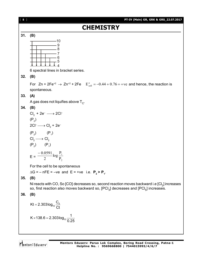| $[ 8 ]$ | PT-IV (Main) GR, GRK & GRS_22.07.2017                                                                                                                                                     |
|---------|-------------------------------------------------------------------------------------------------------------------------------------------------------------------------------------------|
|         | <b>CHEMISTRY</b>                                                                                                                                                                          |
| 31.     | (B)                                                                                                                                                                                       |
|         | 10                                                                                                                                                                                        |
|         |                                                                                                                                                                                           |
|         |                                                                                                                                                                                           |
|         |                                                                                                                                                                                           |
|         |                                                                                                                                                                                           |
|         | 6 spectral lines in bracket series.                                                                                                                                                       |
| 32.     | (B)                                                                                                                                                                                       |
|         | For $Zn + 2Fe^{+2} \rightarrow Zn^{+2} + 2Fe$ $E_{cell}^{\circ} = -0.44 + 0.76 = +ve$ and hence, the reaction is                                                                          |
|         | spontaneous.                                                                                                                                                                              |
| 33.     | (A)                                                                                                                                                                                       |
|         | A gas does not liquifies above $T_c$ .                                                                                                                                                    |
| 34.     | (B)                                                                                                                                                                                       |
|         | $Cl_2 + 2e^- \longrightarrow 2Cl^-$                                                                                                                                                       |
|         | $(P_2)$                                                                                                                                                                                   |
|         | $2Cl^{-} \longrightarrow Cl_{2} + 2e^{-}$                                                                                                                                                 |
|         | $(P_2)$ $(P_1)$                                                                                                                                                                           |
|         | $Cl_2 \longrightarrow Cl_2$                                                                                                                                                               |
|         | $(P_2)$ $(P_1)$                                                                                                                                                                           |
|         |                                                                                                                                                                                           |
|         | $E = \frac{-0.0591}{2} log \frac{P_1}{P_2}$                                                                                                                                               |
|         | For the cell to be spontaneous                                                                                                                                                            |
|         | $\Delta G = -nFE = -ve$ and $E = +ve$ i.e. $P_2 > P_1$ .                                                                                                                                  |
| 35.     | (B)                                                                                                                                                                                       |
|         | Ni reacts with CO, So [CO] decreases so, second reaction moves backward i.e $[Cl_2]$ increases<br>so, first reaction also moves backward so, $[PCl_3]$ decreases and $[PCl_5]$ increases. |
| 36.     | (B)                                                                                                                                                                                       |
|         | Kt = 2.303 $log_{10} \frac{C_0}{C_1}$                                                                                                                                                     |
|         | K × 138.6 = 2.303 $log_{10} \frac{1}{0.25}$                                                                                                                                               |
|         |                                                                                                                                                                                           |

Mentors<sup>e</sup> Eduserv<sup>-</sup>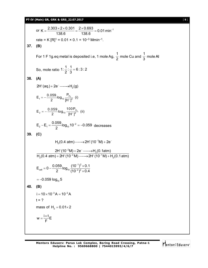## **PT-IV (Main) GR, GRK & GRS\_22.07.2017** [ **9** ]

or K = 
$$
\frac{2.303 \times 2 \times 0.301}{138.6} = \frac{2 \times 0.693}{138.6} = 0.01 \text{ min}^{-1}
$$
  
\nrate = K [R]<sup>1</sup> = 0.01 × 0.1 = 10<sup>-3</sup> Mmin<sup>-1</sup>.  
\n37. **(B)**  
\nFor 1 F 1g.eq metal is deposited i.e, 1 mole Ag,  $\frac{1}{2}$  mole Cu and  $\frac{1}{3}$  mole Al  
\nSo, mole ratio 1:  $\frac{1}{2}$ :  $\frac{1}{3}$  = 6:3:2  
\n38. **(A)**  
\n2H<sup>+</sup>(aq)+2e<sup>-</sup>  $\longrightarrow$ H<sub>2</sub>(g)  
\n
$$
E_1 = -\frac{0.059}{2} log_{10} \frac{P_{H_2}}{[H^*]^2}
$$
 (i)  
\n
$$
E_2 = -\frac{0.059}{2} log_{10} 100 P_{H_2}
$$
 (ii)  
\n
$$
E_2 = E_1 = \frac{0.059}{2} log_{10} 10^{-2} = -0.059 \text{ decreases}
$$
  
\n39. **(C)**  
\n
$$
H_2(0.4 \text{ atm}) \longrightarrow 2H^*(10^{-1}M) + 2e^{-}
$$
\n
$$
\frac{2H^*(10^{-2}M) + 2e^{-} \longrightarrow H_2(0.1 \text{ atm})}{H_2(0.4 \text{ atm}) + 2H^*(10^{-2}M) \longrightarrow 2H^*(10^{-1}M) + H_2(0.1 \text{ atm})}
$$
\n
$$
E_{cell} = 0 - \frac{0.059}{2} log_{10} \frac{(10^{-1})^2 \times 0.1}{(10^{-2})^2 \times 0.4}
$$
\n
$$
= -0.059 log_{10} 5
$$
\n40. **(B)**  
\n
$$
i = 10 \times 10^{-3} A = 10^{-2} A
$$
  
\n
$$
t = ?
$$
  
\nmass of  $H_2 = 0.01 \times 2$   
\n
$$
w = \frac{i \times t}{F}
$$

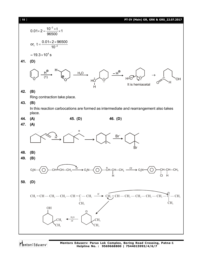

Mentors Eduserv

**Mentors Eduserv: Parus Lok Complex, Boring Road Crossing, Patna-1 Helpline No. : 9569668800 | 7544015993/4/6/7**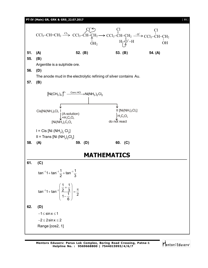

Mentors<sup>e</sup> Eduserv<sup>®</sup>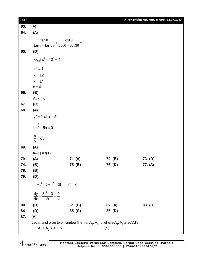| $[12]$ |                                                                                                                                                         |                                                                          |                    | PT-IV (Main) GR, GRK & GRS_22.07.2017 |  |  |  |
|--------|---------------------------------------------------------------------------------------------------------------------------------------------------------|--------------------------------------------------------------------------|--------------------|---------------------------------------|--|--|--|
| 63.    | (A)                                                                                                                                                     |                                                                          |                    |                                       |  |  |  |
| 64.    | (A)                                                                                                                                                     |                                                                          |                    |                                       |  |  |  |
|        | $tan \theta$                                                                                                                                            | $cot \theta$                                                             |                    |                                       |  |  |  |
|        |                                                                                                                                                         | $\tan\theta - \tan 3\theta + \frac{2010}{\cot\theta - \cot 3\theta} = 1$ |                    |                                       |  |  |  |
| 65.    | (D)                                                                                                                                                     |                                                                          |                    |                                       |  |  |  |
|        | $log_2(x^2 + 12) = 4$                                                                                                                                   |                                                                          |                    |                                       |  |  |  |
|        | $x^2 = 4$                                                                                                                                               |                                                                          |                    |                                       |  |  |  |
|        | $x = \pm 2$                                                                                                                                             |                                                                          |                    |                                       |  |  |  |
|        | $x = \pm 1$                                                                                                                                             |                                                                          |                    |                                       |  |  |  |
|        | $x = 0$                                                                                                                                                 |                                                                          |                    |                                       |  |  |  |
| 66.    | (B)                                                                                                                                                     |                                                                          |                    |                                       |  |  |  |
|        | At $x = 0$                                                                                                                                              |                                                                          |                    |                                       |  |  |  |
| 67.    | (C)                                                                                                                                                     |                                                                          |                    |                                       |  |  |  |
| 68.    | (A)                                                                                                                                                     |                                                                          |                    |                                       |  |  |  |
|        | $y' = 0$ at $x = 5$                                                                                                                                     |                                                                          |                    |                                       |  |  |  |
|        | $bx^{\frac{3}{2}} - 5a = 0$                                                                                                                             |                                                                          |                    |                                       |  |  |  |
|        | $\frac{a}{b} = \sqrt{5}$                                                                                                                                |                                                                          |                    |                                       |  |  |  |
| 69.    | (A)                                                                                                                                                     |                                                                          |                    |                                       |  |  |  |
|        | $f(-1) = f(1)$                                                                                                                                          |                                                                          |                    |                                       |  |  |  |
| 70     | (A)                                                                                                                                                     | 71. (A)                                                                  | 72. (B)            | 73. (D)                               |  |  |  |
| 74.    | (B)                                                                                                                                                     | 75. (B)                                                                  | 76. (D)            | 77. (A)                               |  |  |  |
| 78.    | (B)                                                                                                                                                     |                                                                          |                    |                                       |  |  |  |
| 79.    | (D)                                                                                                                                                     |                                                                          |                    |                                       |  |  |  |
|        | $4 = t^2$ ; $2 = t^3 - 3t$ $\Rightarrow t = 2$                                                                                                          |                                                                          |                    |                                       |  |  |  |
|        | $\frac{dy}{dx} = \frac{3t^2 - 3}{2t} = \frac{9}{4}$                                                                                                     |                                                                          |                    |                                       |  |  |  |
| 80.    |                                                                                                                                                         | 81. (C)                                                                  |                    |                                       |  |  |  |
| 84.    | (D)<br>(D)                                                                                                                                              | 85. (C)                                                                  | 82. (A)<br>86. (D) | 83. (C)                               |  |  |  |
| 87.    | (A)                                                                                                                                                     |                                                                          |                    |                                       |  |  |  |
|        |                                                                                                                                                         |                                                                          |                    |                                       |  |  |  |
|        | Let a, and b be two number then a, $A_1$ , $A_2$ , b where $A_1$ , $A_2$ are AM's<br>$\therefore$ A <sub>1</sub> + A <sub>2</sub> = a + b<br>$\dots(1)$ |                                                                          |                    |                                       |  |  |  |
|        |                                                                                                                                                         |                                                                          |                    |                                       |  |  |  |

Mentors<sup>®</sup> Eduserv<sup>®</sup>